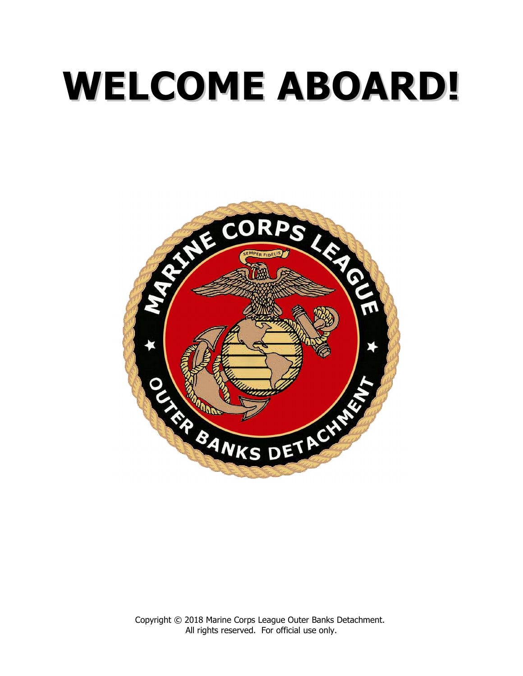# **WELCOME ABOARD! WELCOME ABOARD!**

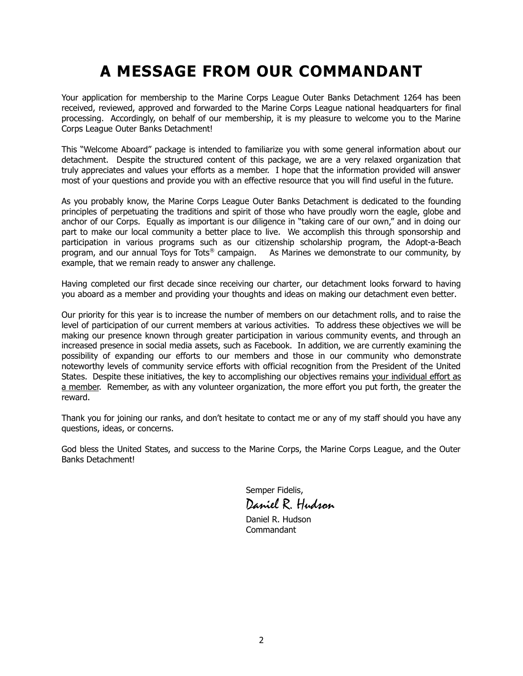# **A MESSAGE FROM OUR COMMANDANT**

Your application for membership to the Marine Corps League Outer Banks Detachment 1264 has been received, reviewed, approved and forwarded to the Marine Corps League national headquarters for final processing. Accordingly, on behalf of our membership, it is my pleasure to welcome you to the Marine Corps League Outer Banks Detachment!

This "Welcome Aboard" package is intended to familiarize you with some general information about our detachment. Despite the structured content of this package, we are a very relaxed organization that truly appreciates and values your efforts as a member. I hope that the information provided will answer most of your questions and provide you with an effective resource that you will find useful in the future.

As you probably know, the Marine Corps League Outer Banks Detachment is dedicated to the founding principles of perpetuating the traditions and spirit of those who have proudly worn the eagle, globe and anchor of our Corps. Equally as important is our diligence in "taking care of our own," and in doing our part to make our local community a better place to live. We accomplish this through sponsorship and participation in various programs such as our citizenship scholarship program, the Adopt-a-Beach program, and our annual Toys for Tots® campaign. As Marines we demonstrate to our community, by example, that we remain ready to answer any challenge.

Having completed our first decade since receiving our charter, our detachment looks forward to having you aboard as a member and providing your thoughts and ideas on making our detachment even better.

Our priority for this year is to increase the number of members on our detachment rolls, and to raise the level of participation of our current members at various activities. To address these objectives we will be making our presence known through greater participation in various community events, and through an increased presence in social media assets, such as Facebook. In addition, we are currently examining the possibility of expanding our efforts to our members and those in our community who demonstrate noteworthy levels of community service efforts with official recognition from the President of the United States. Despite these initiatives, the key to accomplishing our objectives remains your individual effort as a member. Remember, as with any volunteer organization, the more effort you put forth, the greater the reward.

Thank you for joining our ranks, and don't hesitate to contact me or any of my staff should you have any questions, ideas, or concerns.

God bless the United States, and success to the Marine Corps, the Marine Corps League, and the Outer Banks Detachment!

> Semper Fidelis, Daniel R. Hudson

Daniel R. Hudson Commandant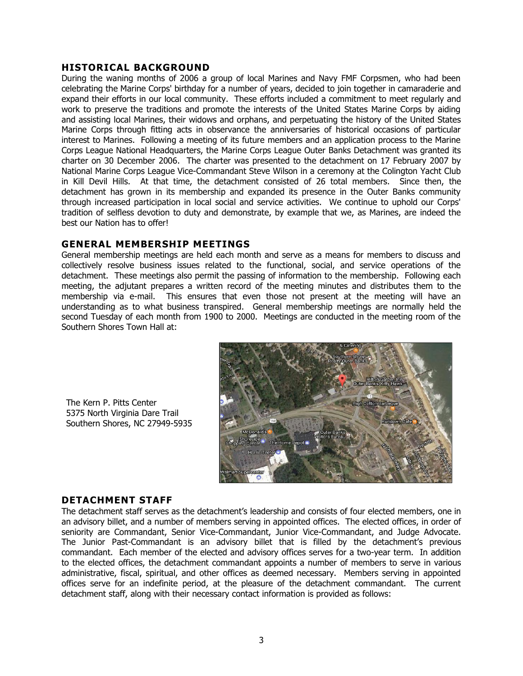# **HISTORICAL BACKGROUND**

During the waning months of 2006 a group of local Marines and Navy FMF Corpsmen, who had been celebrating the Marine Corps' birthday for a number of years, decided to join together in camaraderie and expand their efforts in our local community. These efforts included a commitment to meet regularly and work to preserve the traditions and promote the interests of the United States Marine Corps by aiding and assisting local Marines, their widows and orphans, and perpetuating the history of the United States Marine Corps through fitting acts in observance the anniversaries of historical occasions of particular interest to Marines. Following a meeting of its future members and an application process to the Marine Corps League National Headquarters, the Marine Corps League Outer Banks Detachment was granted its charter on 30 December 2006. The charter was presented to the detachment on 17 February 2007 by National Marine Corps League Vice-Commandant Steve Wilson in a ceremony at the Colington Yacht Club in Kill Devil Hills. At that time, the detachment consisted of 26 total members. Since then, the detachment has grown in its membership and expanded its presence in the Outer Banks community through increased participation in local social and service activities. We continue to uphold our Corps' tradition of selfless devotion to duty and demonstrate, by example that we, as Marines, are indeed the best our Nation has to offer!

#### **GENERAL MEMBERSHIP MEETINGS**

General membership meetings are held each month and serve as a means for members to discuss and collectively resolve business issues related to the functional, social, and service operations of the detachment. These meetings also permit the passing of information to the membership. Following each meeting, the adjutant prepares a written record of the meeting minutes and distributes them to the membership via e-mail. This ensures that even those not present at the meeting will have an understanding as to what business transpired. General membership meetings are normally held the second Tuesday of each month from 1900 to 2000. Meetings are conducted in the meeting room of the Southern Shores Town Hall at:



The Kern P. Pitts Center 5375 North Virginia Dare Trail Southern Shores, NC 27949-5935

#### **DETACHMENT STAFF**

The detachment staff serves as the detachment's leadership and consists of four elected members, one in an advisory billet, and a number of members serving in appointed offices. The elected offices, in order of seniority are Commandant, Senior Vice-Commandant, Junior Vice-Commandant, and Judge Advocate. The Junior Past-Commandant is an advisory billet that is filled by the detachment's previous commandant. Each member of the elected and advisory offices serves for a two-year term. In addition to the elected offices, the detachment commandant appoints a number of members to serve in various administrative, fiscal, spiritual, and other offices as deemed necessary. Members serving in appointed offices serve for an indefinite period, at the pleasure of the detachment commandant. The current detachment staff, along with their necessary contact information is provided as follows: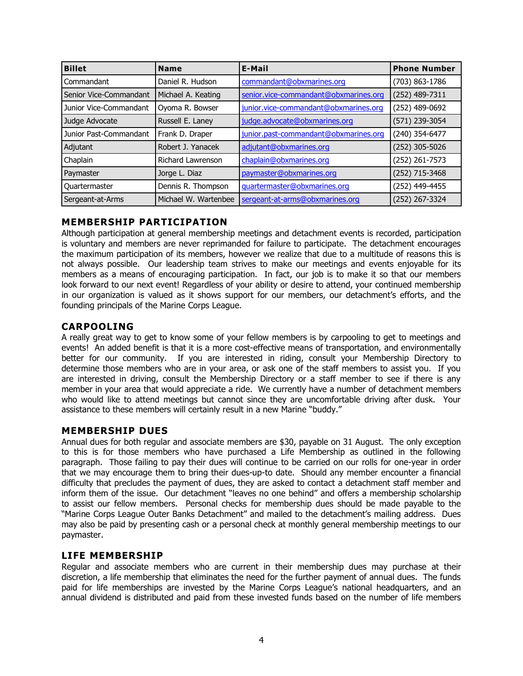| <b>Billet</b><br><b>Name</b> |                      | E-Mail                                | <b>Phone Number</b> |
|------------------------------|----------------------|---------------------------------------|---------------------|
| Commandant                   | Daniel R. Hudson     | commandant@obxmarines.org             | (703) 863-1786      |
| Senior Vice-Commandant       | Michael A. Keating   | senior.vice-commandant@obxmarines.org | (252) 489-7311      |
| Junior Vice-Commandant       | Oyoma R. Bowser      | junior.vice-commandant@obxmarines.org | (252) 489-0692      |
| Judge Advocate               | Russell E. Laney     | judge.advocate@obxmarines.org         | (571) 239-3054      |
| Junior Past-Commandant       | Frank D. Draper      | junior.past-commandant@obxmarines.org | (240) 354-6477      |
| Adjutant                     | Robert J. Yanacek    | adjutant@obxmarines.org               | (252) 305-5026      |
| Chaplain                     | Richard Lawrenson    | chaplain@obxmarines.org               | (252) 261-7573      |
| Paymaster                    | Jorge L. Diaz        | paymaster@obxmarines.org              | (252) 715-3468      |
| Quartermaster                | Dennis R. Thompson   | guartermaster@obxmarines.org          | (252) 449-4455      |
| Sergeant-at-Arms             | Michael W. Wartenbee | sergeant-at-arms@obxmarines.org       | (252) 267-3324      |

# **MEMBERSHIP PARTICIPATION**

Although participation at general membership meetings and detachment events is recorded, participation is voluntary and members are never reprimanded for failure to participate. The detachment encourages the maximum participation of its members, however we realize that due to a multitude of reasons this is not always possible. Our leadership team strives to make our meetings and events enjoyable for its members as a means of encouraging participation. In fact, our job is to make it so that our members look forward to our next event! Regardless of your ability or desire to attend, your continued membership in our organization is valued as it shows support for our members, our detachment's efforts, and the founding principals of the Marine Corps League.

# **CARPOOLING**

A really great way to get to know some of your fellow members is by carpooling to get to meetings and events! An added benefit is that it is a more cost-effective means of transportation, and environmentally better for our community. If you are interested in riding, consult your Membership Directory to determine those members who are in your area, or ask one of the staff members to assist you. If you are interested in driving, consult the Membership Directory or a staff member to see if there is any member in your area that would appreciate a ride. We currently have a number of detachment members who would like to attend meetings but cannot since they are uncomfortable driving after dusk. Your assistance to these members will certainly result in a new Marine "buddy."

# **MEMBERSHIP DUES**

Annual dues for both regular and associate members are \$30, payable on 31 August. The only exception to this is for those members who have purchased a Life Membership as outlined in the following paragraph. Those failing to pay their dues will continue to be carried on our rolls for one-year in order that we may encourage them to bring their dues-up-to date. Should any member encounter a financial difficulty that precludes the payment of dues, they are asked to contact a detachment staff member and inform them of the issue. Our detachment "leaves no one behind" and offers a membership scholarship to assist our fellow members. Personal checks for membership dues should be made payable to the "Marine Corps League Outer Banks Detachment" and mailed to the detachment's mailing address. Dues may also be paid by presenting cash or a personal check at monthly general membership meetings to our paymaster.

# **LIFE MEMBERSHIP**

Regular and associate members who are current in their membership dues may purchase at their discretion, a life membership that eliminates the need for the further payment of annual dues. The funds paid for life memberships are invested by the Marine Corps League's national headquarters, and an annual dividend is distributed and paid from these invested funds based on the number of life members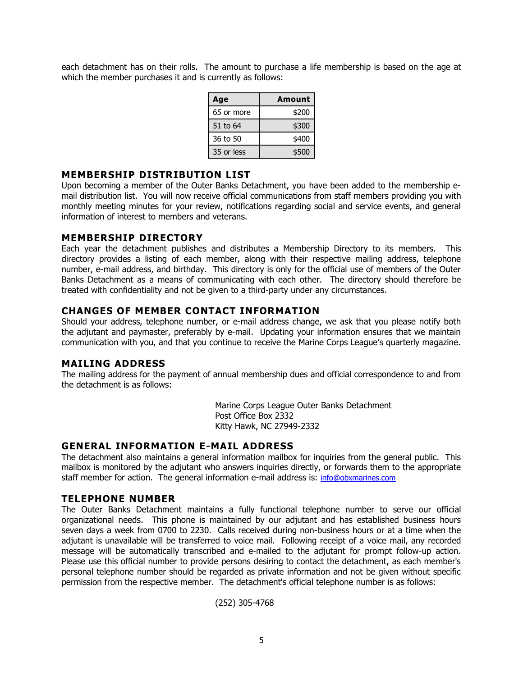each detachment has on their rolls. The amount to purchase a life membership is based on the age at which the member purchases it and is currently as follows:

| Age        | <b>Amount</b> |
|------------|---------------|
| 65 or more | \$200         |
| 51 to 64   | \$300         |
| 36 to 50   | \$400         |
| 35 or less | \$500         |

# **MEMBERSHIP DISTRIBUTION LIST**

Upon becoming a member of the Outer Banks Detachment, you have been added to the membership email distribution list. You will now receive official communications from staff members providing you with monthly meeting minutes for your review, notifications regarding social and service events, and general information of interest to members and veterans.

# **MEMBERSHIP DIRECTORY**

Each year the detachment publishes and distributes a Membership Directory to its members. This directory provides a listing of each member, along with their respective mailing address, telephone number, e-mail address, and birthday. This directory is only for the official use of members of the Outer Banks Detachment as a means of communicating with each other. The directory should therefore be treated with confidentiality and not be given to a third-party under any circumstances.

# **CHANGES OF MEMBER CONTACT INFORMATION**

Should your address, telephone number, or e-mail address change, we ask that you please notify both the adjutant and paymaster, preferably by e-mail. Updating your information ensures that we maintain communication with you, and that you continue to receive the Marine Corps League's quarterly magazine.

#### **MAILING ADDRESS**

The mailing address for the payment of annual membership dues and official correspondence to and from the detachment is as follows:

> Marine Corps League Outer Banks Detachment Post Office Box 2332 Kitty Hawk, NC 27949-2332

# **GENERAL INFORMATION E-MAIL ADDRESS**

The detachment also maintains a general information mailbox for inquiries from the general public. This mailbox is monitored by the adjutant who answers inquiries directly, or forwards them to the appropriate staff member for action. The general information e-mail address is: info@obxmarines.com

#### **TELEPHONE NUMBER**

The Outer Banks Detachment maintains a fully functional telephone number to serve our official organizational needs. This phone is maintained by our adjutant and has established business hours seven days a week from 0700 to 2230. Calls received during non-business hours or at a time when the adjutant is unavailable will be transferred to voice mail. Following receipt of a voice mail, any recorded message will be automatically transcribed and e-mailed to the adjutant for prompt follow-up action. Please use this official number to provide persons desiring to contact the detachment, as each member's personal telephone number should be regarded as private information and not be given without specific permission from the respective member. The detachment's official telephone number is as follows:

(252) 305-4768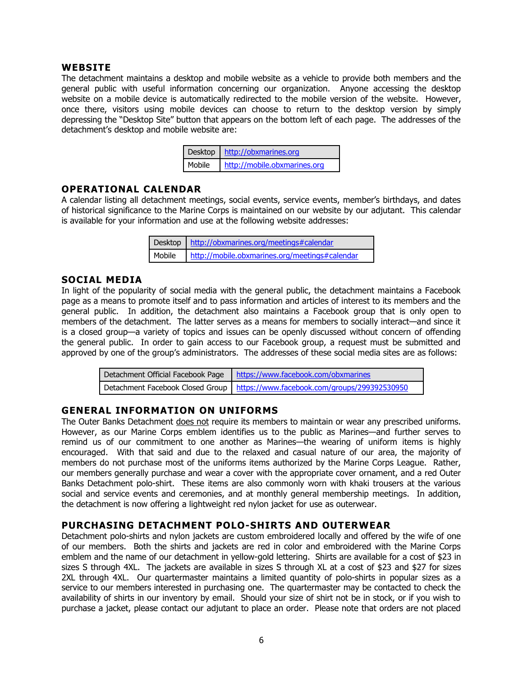#### **WEBSITE**

The detachment maintains a desktop and mobile website as a vehicle to provide both members and the general public with useful information concerning our organization. Anyone accessing the desktop website on a mobile device is automatically redirected to the mobile version of the website. However, once there, visitors using mobile devices can choose to return to the desktop version by simply depressing the "Desktop Site" button that appears on the bottom left of each page. The addresses of the detachment's desktop and mobile website are:

| Desktop   http://obxmarines.org       |  |
|---------------------------------------|--|
| Mobile   http://mobile.obxmarines.org |  |

# **OPERATIONAL CALENDAR**

A calendar listing all detachment meetings, social events, service events, member's birthdays, and dates of historical significance to the Marine Corps is maintained on our website by our adjutant. This calendar is available for your information and use at the following website addresses:

| Desktop   http://obxmarines.org/meetings#calendar       |  |  |
|---------------------------------------------------------|--|--|
| Mobile   http://mobile.obxmarines.org/meetings#calendar |  |  |

# **SOCIAL MEDIA**

In light of the popularity of social media with the general public, the detachment maintains a Facebook page as a means to promote itself and to pass information and articles of interest to its members and the general public. In addition, the detachment also maintains a Facebook group that is only open to members of the detachment. The latter serves as a means for members to socially interact—and since it is a closed group—a variety of topics and issues can be openly discussed without concern of offending the general public. In order to gain access to our Facebook group, a request must be submitted and approved by one of the group's administrators. The addresses of these social media sites are as follows:

| Detachment Official Facebook Page   https://www.facebook.com/obxmarines         |
|---------------------------------------------------------------------------------|
| Detachment Facebook Closed Group   https://www.facebook.com/groups/299392530950 |

# **GENERAL INFORMATION ON UNIFORMS**

The Outer Banks Detachment does not require its members to maintain or wear any prescribed uniforms. However, as our Marine Corps emblem identifies us to the public as Marines—and further serves to remind us of our commitment to one another as Marines—the wearing of uniform items is highly encouraged. With that said and due to the relaxed and casual nature of our area, the majority of members do not purchase most of the uniforms items authorized by the Marine Corps League. Rather, our members generally purchase and wear a cover with the appropriate cover ornament, and a red Outer Banks Detachment polo-shirt. These items are also commonly worn with khaki trousers at the various social and service events and ceremonies, and at monthly general membership meetings. In addition, the detachment is now offering a lightweight red nylon jacket for use as outerwear.

# **PURCHASING DETACHMENT POLO-SHIRTS AND OUTERWEAR**

Detachment polo-shirts and nylon jackets are custom embroidered locally and offered by the wife of one of our members. Both the shirts and jackets are red in color and embroidered with the Marine Corps emblem and the name of our detachment in yellow-gold lettering. Shirts are available for a cost of \$23 in sizes S through 4XL. The jackets are available in sizes S through XL at a cost of \$23 and \$27 for sizes 2XL through 4XL. Our quartermaster maintains a limited quantity of polo-shirts in popular sizes as a service to our members interested in purchasing one. The quartermaster may be contacted to check the availability of shirts in our inventory by email. Should your size of shirt not be in stock, or if you wish to purchase a jacket, please contact our adjutant to place an order. Please note that orders are not placed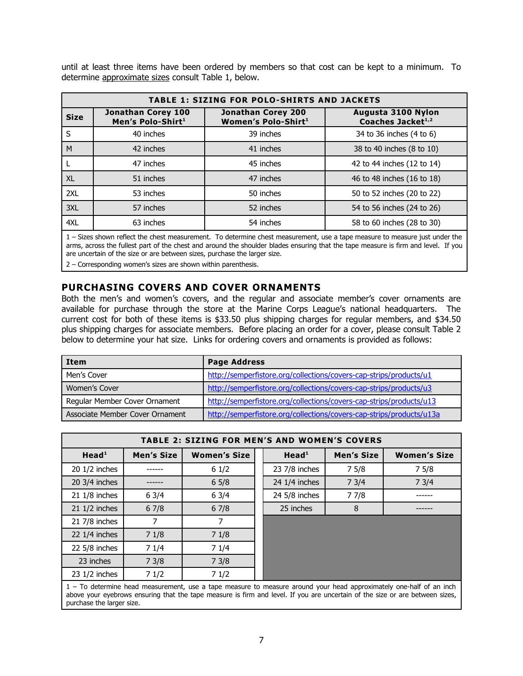until at least three items have been ordered by members so that cost can be kept to a minimum. To determine approximate sizes consult Table 1, below.

| <b>TABLE 1: SIZING FOR POLO-SHIRTS AND JACKETS</b> |                                                     |                                                  |                                                     |  |  |
|----------------------------------------------------|-----------------------------------------------------|--------------------------------------------------|-----------------------------------------------------|--|--|
| <b>Size</b>                                        | Jonathan Corey 100<br>Men's Polo-Shirt <sup>1</sup> | Jonathan Corey 200<br><b>Women's Polo-Shirt1</b> | Augusta 3100 Nylon<br>Coaches Jacket <sup>1,2</sup> |  |  |
| S                                                  | 40 inches                                           | 39 inches                                        | 34 to 36 inches (4 to 6)                            |  |  |
| M                                                  | 42 inches                                           | 41 inches                                        | 38 to 40 inches (8 to 10)                           |  |  |
|                                                    | 47 inches                                           | 45 inches                                        | 42 to 44 inches (12 to 14)                          |  |  |
| <b>XL</b>                                          | 51 inches                                           | 47 inches                                        | 46 to 48 inches (16 to 18)                          |  |  |
| 2XL                                                | 53 inches                                           | 50 inches                                        | 50 to 52 inches (20 to 22)                          |  |  |
| 3XL                                                | 57 inches                                           | 52 inches                                        | 54 to 56 inches (24 to 26)                          |  |  |
| 4XL                                                | 63 inches                                           | 54 inches                                        | 58 to 60 inches (28 to 30)                          |  |  |

1 – Sizes shown reflect the chest measurement. To determine chest measurement, use a tape measure to measure just under the arms, across the fullest part of the chest and around the shoulder blades ensuring that the tape measure is firm and level. If you are uncertain of the size or are between sizes, purchase the larger size.

2 – Corresponding women's sizes are shown within parenthesis.

# **PURCHASING COVERS AND COVER ORNAMENTS**

Both the men's and women's covers, and the regular and associate member's cover ornaments are available for purchase through the store at the Marine Corps League's national headquarters. The current cost for both of these items is \$33.50 plus shipping charges for regular members, and \$34.50 plus shipping charges for associate members. Before placing an order for a cover, please consult Table 2 below to determine your hat size. Links for ordering covers and ornaments is provided as follows:

| Item                            | <b>Page Address</b>                                                  |  |  |
|---------------------------------|----------------------------------------------------------------------|--|--|
| Men's Cover                     | http://semperfistore.org/collections/covers-cap-strips/products/u1   |  |  |
| Women's Cover                   | http://semperfistore.org/collections/covers-cap-strips/products/u3   |  |  |
| Regular Member Cover Ornament   | http://semperfistore.org/collections/covers-cap-strips/products/u13  |  |  |
| Associate Member Cover Ornament | http://semperfistore.org/collections/covers-cap-strips/products/u13a |  |  |

| <b>TABLE 2: SIZING FOR MEN'S AND WOMEN'S COVERS</b> |            |                     |  |                   |            |                                                  |
|-----------------------------------------------------|------------|---------------------|--|-------------------|------------|--------------------------------------------------|
| Head <sup>1</sup>                                   | Men's Size | <b>Women's Size</b> |  | Head <sup>1</sup> | Men's Size | <b>Women's Size</b>                              |
| 20 1/2 inches                                       |            | 61/2                |  | 23 7/8 inches     | 75/8       | 75/8                                             |
| 20 3/4 inches                                       |            | 65/8                |  | 24 1/4 inches     | 73/4       | 73/4                                             |
| 21 1/8 inches                                       | 63/4       | 63/4                |  | 24 5/8 inches     | 77/8       |                                                  |
| $21 \frac{1}{2}$ inches                             | 67/8       | 67/8                |  | 25 inches         | 8          |                                                  |
| 21 7/8 inches                                       |            |                     |  |                   |            |                                                  |
| 22 $1/4$ inches                                     | 71/8       | 71/8                |  |                   |            |                                                  |
| $22\,5/8$ inches                                    | 71/4       | 71/4                |  |                   |            |                                                  |
| 23 inches                                           | 73/8       | 73/8                |  |                   |            |                                                  |
| 23 1/2 inches                                       | 71/2       | 71/2                |  |                   |            |                                                  |
| _                                                   |            |                     |  |                   |            | $\sim$ $\sim$ $\sim$ $\sim$ $\sim$ $\sim$ $\sim$ |

1 – To determine head measurement, use a tape measure to measure around your head approximately one-half of an inch above your eyebrows ensuring that the tape measure is firm and level. If you are uncertain of the size or are between sizes, purchase the larger size.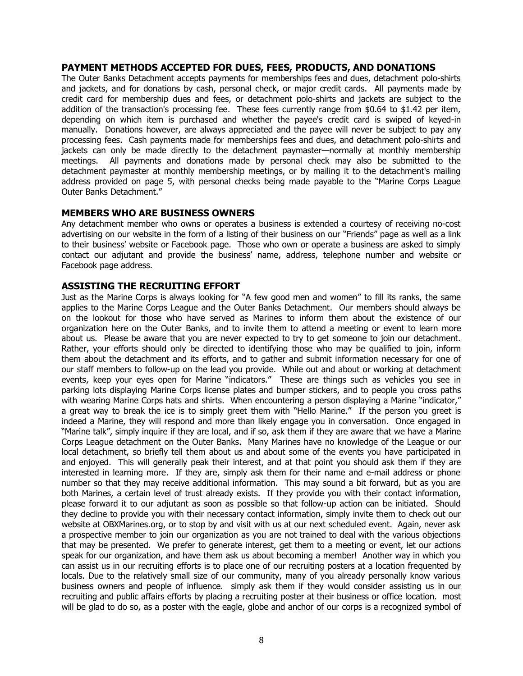#### **PAYMENT METHODS ACCEPTED FOR DUES, FEES, PRODUCTS, AND DONATIONS**

The Outer Banks Detachment accepts payments for memberships fees and dues, detachment polo-shirts and jackets, and for donations by cash, personal check, or major credit cards. All payments made by credit card for membership dues and fees, or detachment polo-shirts and jackets are subject to the addition of the transaction's processing fee. These fees currently range from \$0.64 to \$1.42 per item, depending on which item is purchased and whether the payee's credit card is swiped of keyed-in manually. Donations however, are always appreciated and the payee will never be subject to pay any processing fees. Cash payments made for memberships fees and dues, and detachment polo-shirts and jackets can only be made directly to the detachment paymaster—normally at monthly membership meetings. All payments and donations made by personal check may also be submitted to the detachment paymaster at monthly membership meetings, or by mailing it to the detachment's mailing address provided on page 5, with personal checks being made payable to the "Marine Corps League Outer Banks Detachment."

#### **MEMBERS WHO ARE BUSINESS OWNERS**

Any detachment member who owns or operates a business is extended a courtesy of receiving no-cost advertising on our website in the form of a listing of their business on our "Friends" page as well as a link to their business' website or Facebook page. Those who own or operate a business are asked to simply contact our adjutant and provide the business' name, address, telephone number and website or Facebook page address.

#### **ASSISTING THE RECRUITING EFFORT**

Just as the Marine Corps is always looking for "A few good men and women" to fill its ranks, the same applies to the Marine Corps League and the Outer Banks Detachment. Our members should always be on the lookout for those who have served as Marines to inform them about the existence of our organization here on the Outer Banks, and to invite them to attend a meeting or event to learn more about us. Please be aware that you are never expected to try to get someone to join our detachment. Rather, your efforts should only be directed to identifying those who may be qualified to join, inform them about the detachment and its efforts, and to gather and submit information necessary for one of our staff members to follow-up on the lead you provide. While out and about or working at detachment events, keep your eyes open for Marine "indicators." These are things such as vehicles you see in parking lots displaying Marine Corps license plates and bumper stickers, and to people you cross paths with wearing Marine Corps hats and shirts. When encountering a person displaying a Marine "indicator," a great way to break the ice is to simply greet them with "Hello Marine." If the person you greet is indeed a Marine, they will respond and more than likely engage you in conversation. Once engaged in "Marine talk", simply inquire if they are local, and if so, ask them if they are aware that we have a Marine Corps League detachment on the Outer Banks. Many Marines have no knowledge of the League or our local detachment, so briefly tell them about us and about some of the events you have participated in and enjoyed. This will generally peak their interest, and at that point you should ask them if they are interested in learning more. If they are, simply ask them for their name and e-mail address or phone number so that they may receive additional information. This may sound a bit forward, but as you are both Marines, a certain level of trust already exists. If they provide you with their contact information, please forward it to our adjutant as soon as possible so that follow-up action can be initiated. Should they decline to provide you with their necessary contact information, simply invite them to check out our website at OBXMarines.org, or to stop by and visit with us at our next scheduled event. Again, never ask a prospective member to join our organization as you are not trained to deal with the various objections that may be presented. We prefer to generate interest, get them to a meeting or event, let our actions speak for our organization, and have them ask us about becoming a member! Another way in which you can assist us in our recruiting efforts is to place one of our recruiting posters at a location frequented by locals. Due to the relatively small size of our community, many of you already personally know various business owners and people of influence. simply ask them if they would consider assisting us in our recruiting and public affairs efforts by placing a recruiting poster at their business or office location. most will be glad to do so, as a poster with the eagle, globe and anchor of our corps is a recognized symbol of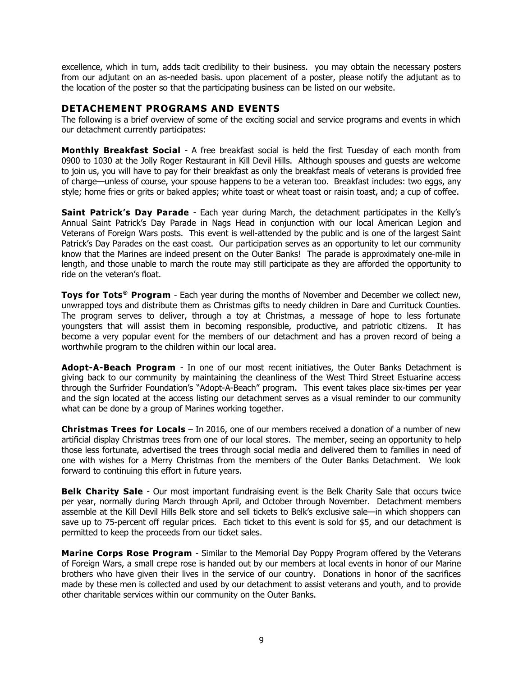excellence, which in turn, adds tacit credibility to their business. you may obtain the necessary posters from our adjutant on an as-needed basis. upon placement of a poster, please notify the adjutant as to the location of the poster so that the participating business can be listed on our website.

# **DETACHEMENT PROGRAMS AND EVENTS**

The following is a brief overview of some of the exciting social and service programs and events in which our detachment currently participates:

**Monthly Breakfast Social** - A free breakfast social is held the first Tuesday of each month from 0900 to 1030 at the Jolly Roger Restaurant in Kill Devil Hills. Although spouses and guests are welcome to join us, you will have to pay for their breakfast as only the breakfast meals of veterans is provided free of charge—unless of course, your spouse happens to be a veteran too. Breakfast includes: two eggs, any style; home fries or grits or baked apples; white toast or wheat toast or raisin toast, and; a cup of coffee.

**Saint Patrick's Day Parade** - Each year during March, the detachment participates in the Kelly's Annual Saint Patrick's Day Parade in Nags Head in conjunction with our local American Legion and Veterans of Foreign Wars posts. This event is well-attended by the public and is one of the largest Saint Patrick's Day Parades on the east coast. Our participation serves as an opportunity to let our community know that the Marines are indeed present on the Outer Banks! The parade is approximately one-mile in length, and those unable to march the route may still participate as they are afforded the opportunity to ride on the veteran's float.

**Toys for Tots<sup>®</sup> Program** - Each year during the months of November and December we collect new, unwrapped toys and distribute them as Christmas gifts to needy children in Dare and Currituck Counties. The program serves to deliver, through a toy at Christmas, a message of hope to less fortunate youngsters that will assist them in becoming responsible, productive, and patriotic citizens. It has become a very popular event for the members of our detachment and has a proven record of being a worthwhile program to the children within our local area.

**Adopt-A-Beach Program** - In one of our most recent initiatives, the Outer Banks Detachment is giving back to our community by maintaining the cleanliness of the West Third Street Estuarine access through the Surfrider Foundation's "Adopt-A-Beach" program. This event takes place six-times per year and the sign located at the access listing our detachment serves as a visual reminder to our community what can be done by a group of Marines working together.

**Christmas Trees for Locals** – In 2016, one of our members received a donation of a number of new artificial display Christmas trees from one of our local stores. The member, seeing an opportunity to help those less fortunate, advertised the trees through social media and delivered them to families in need of one with wishes for a Merry Christmas from the members of the Outer Banks Detachment. We look forward to continuing this effort in future years.

**Belk Charity Sale** - Our most important fundraising event is the Belk Charity Sale that occurs twice per year, normally during March through April, and October through November. Detachment members assemble at the Kill Devil Hills Belk store and sell tickets to Belk's exclusive sale—in which shoppers can save up to 75-percent off regular prices. Each ticket to this event is sold for \$5, and our detachment is permitted to keep the proceeds from our ticket sales.

**Marine Corps Rose Program** - Similar to the Memorial Day Poppy Program offered by the Veterans of Foreign Wars, a small crepe rose is handed out by our members at local events in honor of our Marine brothers who have given their lives in the service of our country. Donations in honor of the sacrifices made by these men is collected and used by our detachment to assist veterans and youth, and to provide other charitable services within our community on the Outer Banks.